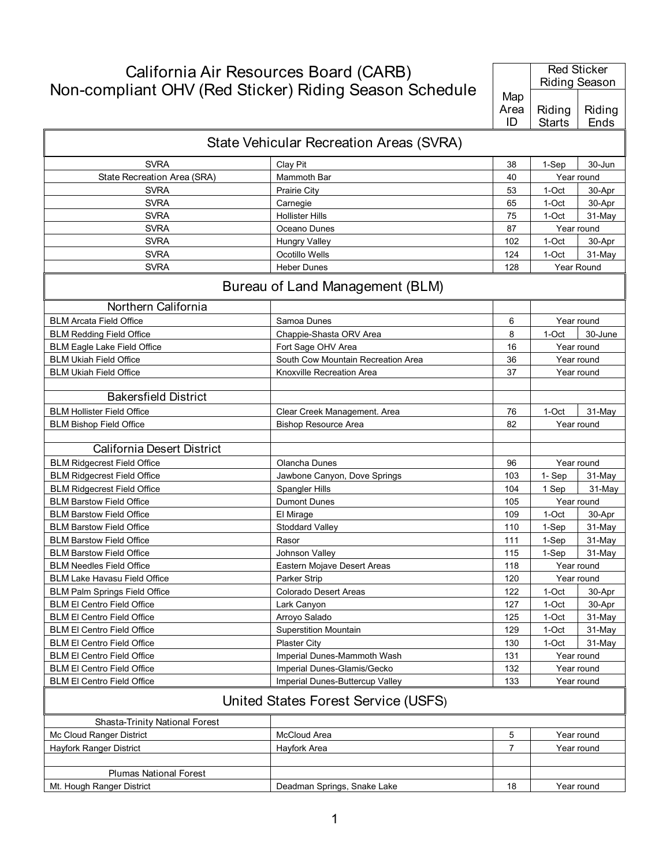## California Air Resources Board (CARB)

Red Sticker

|                                      | Non-compliant OHV (Red Sticker) Riding Season Schedule |                   | <b>Riding Season</b>    |                |
|--------------------------------------|--------------------------------------------------------|-------------------|-------------------------|----------------|
|                                      |                                                        | Map<br>Area<br>ID | Riding<br><b>Starts</b> | Riding<br>Ends |
|                                      | State Vehicular Recreation Areas (SVRA)                |                   |                         |                |
| <b>SVRA</b>                          | Clay Pit                                               | 38                | 1-Sep                   | 30-Jun         |
| State Recreation Area (SRA)          | Mammoth Bar                                            | 40                |                         | Year round     |
| <b>SVRA</b>                          | <b>Prairie City</b>                                    | 53                | 1-Oct                   | 30-Apr         |
| <b>SVRA</b>                          | Carnegie                                               | 65                | 1-Oct                   | 30-Apr         |
| <b>SVRA</b>                          | <b>Hollister Hills</b>                                 | 75                | 1-Oct                   | 31-May         |
| <b>SVRA</b>                          | Oceano Dunes                                           | 87                |                         | Year round     |
| <b>SVRA</b>                          | <b>Hungry Valley</b>                                   | 102               | 1-Oct                   | 30-Apr         |
| <b>SVRA</b>                          | Ocotillo Wells                                         | 124               | 1-Oct                   | 31-May         |
| <b>SVRA</b>                          | Heber Dunes                                            | 128               |                         | Year Round     |
|                                      | Bureau of Land Management (BLM)                        |                   |                         |                |
| Northern California                  |                                                        |                   |                         |                |
| <b>BLM Arcata Field Office</b>       | Samoa Dunes                                            | 6                 |                         | Year round     |
| <b>BLM Redding Field Office</b>      | Chappie-Shasta ORV Area                                | 8                 | 1-Oct                   | 30-June        |
| <b>BLM Eagle Lake Field Office</b>   | Fort Sage OHV Area                                     | 16                |                         | Year round     |
| <b>BLM Ukiah Field Office</b>        | South Cow Mountain Recreation Area                     | 36                |                         | Year round     |
| <b>BLM Ukiah Field Office</b>        | Knoxville Recreation Area                              | 37                |                         | Year round     |
| <b>Bakersfield District</b>          |                                                        |                   |                         |                |
| <b>BLM Hollister Field Office</b>    | Clear Creek Management. Area                           | 76                | 1-Oct                   | 31-May         |
| <b>BLM Bishop Field Office</b>       | <b>Bishop Resource Area</b>                            | 82                |                         | Year round     |
| <b>California Desert District</b>    |                                                        |                   |                         |                |
| <b>BLM Ridgecrest Field Office</b>   | Olancha Dunes                                          | 96                |                         | Year round     |
| <b>BLM Ridgecrest Field Office</b>   | Jawbone Canyon, Dove Springs                           | 103               | 1- Sep                  | 31-May         |
| <b>BLM Ridgecrest Field Office</b>   | Spangler Hills                                         | 104               | 1 Sep                   | 31-May         |
| <b>BLM Barstow Field Office</b>      | <b>Dumont Dunes</b>                                    | 105               |                         | Year round     |
| <b>BLM Barstow Field Office</b>      | El Mirage                                              | 109               | 1-Oct                   | 30-Apr         |
| <b>BLM Barstow Field Office</b>      | Stoddard Valley                                        | 110               | 1-Sep                   | 31-May         |
| <b>BLM Barstow Field Office</b>      | Rasor                                                  | 111               | 1-Sep                   | 31-May         |
| <b>BLM Barstow Field Office</b>      | Johnson Valley                                         | 115               | 1-Sep                   | 31-May         |
| <b>BLM Needles Field Office</b>      | Eastern Mojave Desert Areas                            | 118               |                         | Year round     |
| <b>BLM Lake Havasu Field Office</b>  | Parker Strip                                           | 120               |                         | Year round     |
| <b>BLM Palm Springs Field Office</b> | Colorado Desert Areas                                  | 122               | 1-Oct                   | 30-Apr         |
| <b>BLM EI Centro Field Office</b>    | Lark Canyon                                            | 127               | 1-Oct                   | 30-Apr         |
| <b>BLM EI Centro Field Office</b>    | Arroyo Salado                                          | 125               | 1-Oct                   | 31-May         |
| <b>BLM EI Centro Field Office</b>    | <b>Superstition Mountain</b>                           | 129               | 1-Oct                   | 31-May         |
| <b>BLM EI Centro Field Office</b>    | <b>Plaster City</b>                                    | 130               | 1-Oct                   | 31-May         |
| <b>BLM EI Centro Field Office</b>    | Imperial Dunes-Mammoth Wash                            | 131               |                         | Year round     |
| <b>BLM El Centro Field Office</b>    | Imperial Dunes-Glamis/Gecko                            | 132               |                         | Year round     |
| <b>BLM EI Centro Field Office</b>    | Imperial Dunes-Buttercup Valley                        | 133               | Year round              |                |
|                                      | United States Forest Service (USFS)                    |                   |                         |                |
| Shasta-Trinity National Forest       |                                                        |                   |                         |                |
| Mc Cloud Ranger District             | McCloud Area                                           | $\,$ 5 $\,$       |                         | Year round     |
| <b>Hayfork Ranger District</b>       | Hayfork Area                                           | $\overline{7}$    |                         | Year round     |
|                                      |                                                        |                   |                         |                |
| Plumas National Forest               |                                                        |                   |                         |                |
| Mt. Hough Ranger District            | Deadman Springs, Snake Lake                            | 18                |                         | Year round     |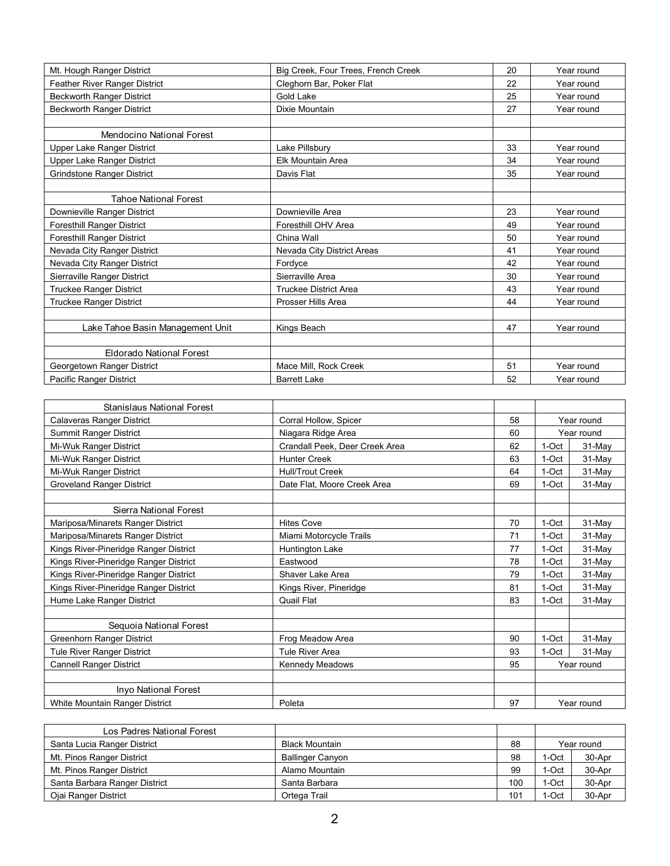| Mt. Hough Ranger District         | Big Creek, Four Trees, French Creek | 20 | Year round |
|-----------------------------------|-------------------------------------|----|------------|
| Feather River Ranger District     | Cleghorn Bar, Poker Flat            | 22 | Year round |
| <b>Beckworth Ranger District</b>  | Gold Lake                           | 25 | Year round |
| <b>Beckworth Ranger District</b>  | Dixie Mountain                      | 27 | Year round |
|                                   |                                     |    |            |
| Mendocino National Forest         |                                     |    |            |
| Upper Lake Ranger District        | Lake Pillsbury                      | 33 | Year round |
| Upper Lake Ranger District        | <b>Elk Mountain Area</b>            | 34 | Year round |
| <b>Grindstone Ranger District</b> | Davis Flat                          | 35 | Year round |
|                                   |                                     |    |            |
| <b>Tahoe National Forest</b>      |                                     |    |            |
| Downieville Ranger District       | Downieville Area                    | 23 | Year round |
| Foresthill Ranger District        | Foresthill OHV Area                 | 49 | Year round |
| <b>Foresthill Ranger District</b> | China Wall                          | 50 | Year round |
| Nevada City Ranger District       | Nevada City District Areas          | 41 | Year round |
| Nevada City Ranger District       | Fordyce                             | 42 | Year round |
| Sierraville Ranger District       | Sierraville Area                    | 30 | Year round |
| <b>Truckee Ranger District</b>    | <b>Truckee District Area</b>        | 43 | Year round |
| <b>Truckee Ranger District</b>    | Prosser Hills Area                  | 44 | Year round |
|                                   |                                     |    |            |
| Lake Tahoe Basin Management Unit  | Kings Beach                         | 47 | Year round |
|                                   |                                     |    |            |
| <b>Eldorado National Forest</b>   |                                     |    |            |
| Georgetown Ranger District        | Mace Mill, Rock Creek               | 51 | Year round |
| Pacific Ranger District           | <b>Barrett Lake</b>                 | 52 | Year round |

| Stanislaus National Forest            |                                |    |         |            |  |
|---------------------------------------|--------------------------------|----|---------|------------|--|
| Calaveras Ranger District             | Corral Hollow, Spicer          | 58 |         | Year round |  |
| Summit Ranger District                | Niagara Ridge Area             | 60 |         | Year round |  |
| Mi-Wuk Ranger District                | Crandall Peek, Deer Creek Area | 62 | 1-Oct   | 31-May     |  |
| Mi-Wuk Ranger District                | <b>Hunter Creek</b>            | 63 | 1-Oct   | 31-May     |  |
| Mi-Wuk Ranger District                | <b>Hull/Trout Creek</b>        | 64 | 1-Oct   | 31-May     |  |
| <b>Groveland Ranger District</b>      | Date Flat, Moore Creek Area    | 69 | 1-Oct   | 31-May     |  |
|                                       |                                |    |         |            |  |
| Sierra National Forest                |                                |    |         |            |  |
| Mariposa/Minarets Ranger District     | <b>Hites Cove</b>              | 70 | 1-Oct   | 31-May     |  |
| Mariposa/Minarets Ranger District     | Miami Motorcycle Trails        | 71 | 1-Oct   | 31-May     |  |
| Kings River-Pineridge Ranger District | Huntington Lake                | 77 | 1-Oct   | 31-May     |  |
| Kings River-Pineridge Ranger District | Eastwood                       | 78 | 1-Oct   | 31-May     |  |
| Kings River-Pineridge Ranger District | Shaver Lake Area               | 79 | $1-Oct$ | 31-May     |  |
| Kings River-Pineridge Ranger District | Kings River, Pineridge         | 81 | $1-Oct$ | 31-May     |  |
| Hume Lake Ranger District             | Quail Flat                     | 83 | $1-Oct$ | 31-May     |  |
|                                       |                                |    |         |            |  |
| Sequoia National Forest               |                                |    |         |            |  |
| Greenhorn Ranger District             | Frog Meadow Area               | 90 | 1-Oct   | 31-May     |  |
| <b>Tule River Ranger District</b>     | <b>Tule River Area</b>         | 93 | 1-Oct   | 31-May     |  |
| <b>Cannell Ranger District</b>        | Kennedy Meadows                | 95 |         | Year round |  |
|                                       |                                |    |         |            |  |
| <b>Inyo National Forest</b>           |                                |    |         |            |  |
| White Mountain Ranger District        | Poleta                         | 97 |         | Year round |  |

| Los Padres National Forest    |                         |     |       |            |
|-------------------------------|-------------------------|-----|-------|------------|
| Santa Lucia Ranger District   | <b>Black Mountain</b>   | 88  |       | Year round |
| Mt. Pinos Ranger District     | <b>Ballinger Canyon</b> | 98  | I-Oct | 30-Apr     |
| Mt. Pinos Ranger District     | Alamo Mountain          | 99  | -Oct  | 30-Apr     |
| Santa Barbara Ranger District | Santa Barbara           | 100 | -Oct  | 30-Apr     |
| Ojai Ranger District          | Ortega Trail            | 101 | -Oct  | 30-Apr     |